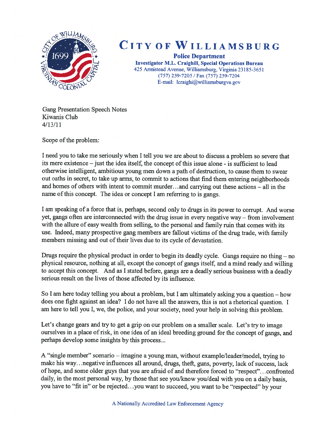

# CITY OF WILLIAMSBURG

Police Department Investigator M.L. Craighill, Special Operations Bureau 425 Armistead Avenue, Williamsburg, Virginia 23185-3651 (757) 259-7205 / Fax (757) 259-7204 E-mail: lcraighi@williamsburgva.gov

Gang Presentation Speech Notes Kiwanis Club 4/13/11

Scope of the problem:

<sup>I</sup> need you to take me seriously when <sup>I</sup> tell you we are about to discuss <sup>a</sup> problem so severe that its mere existence – just the idea itself, the concept of this issue alone - is sufficient to lead otherwise intelligent, ambitious young men down <sup>a</sup> path of destruction, to cause them to swear out oaths in secret, to take up arms, to commit to actions that find them entering neighborhoods and homes of others with intent to commit murder. . . and carrying out these actions — all in the name of this concept. The idea or concept I am referring to is gangs.

<sup>I</sup> am speaking of <sup>a</sup> force that is, perhaps, second only to drugs in its power to corrupt. And worse yet, gangs often are interconnected with the drug issue in every negative way — from involvement with the allure of easy wealth from selling, to the persona<sup>l</sup> and family ruin that comes with its use. Indeed, many prospective gang members are fallout victims of the drug trade, with family members missing and out of their lives due to its cycle of devastation.

Drugs require the <sup>p</sup>hysical product in order to begin its deadly cycle. Gangs require no thing — no <sup>p</sup>hysical resource, nothing at all, excep<sup>t</sup> the concep<sup>t</sup> of gangs itself, and <sup>a</sup> mind ready and willing to accep<sup>t</sup> this concept. And as <sup>I</sup> stated before, gangs are <sup>a</sup> deadly serious business with <sup>a</sup> deadly serious result on the lives of those affected by its influence.

So <sup>I</sup> am here today telling you about <sup>a</sup> problem, but <sup>I</sup> am ultimately asking you <sup>a</sup> question — how does one fight against an idea? <sup>I</sup> do not have all the answers, this is not <sup>a</sup> rhetorical question. <sup>I</sup> am here to tell you I, we, the police, and your society, need your help in solving this problem.

Let's change gears and try to get a grip on our problem on a smaller scale. Let's try to image ourselves in a place of risk, in one idea of an ideal breeding ground for the concept of gangs, and perhaps develop some insights by this process...

<sup>A</sup> "single member" scenario — imagine <sup>a</sup> young man, without example/leader/model, trying to make his way. . .negative influences all around, drugs, theft, guns, poverty, lack of success, lack of hope, and some older guys that you are afraid of and therefore forced to "respect". . . confronted daily, in the most persona<sup>l</sup> way, by those that see you/know you/deal with you on <sup>a</sup> daily basis, you have to "fit in" or be rejected. . .you want to succeed, you want to be "respected" by your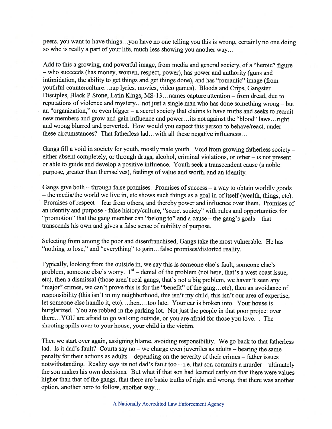peers, you want to have things. . .you have no one telling you this is wrong, certainly no one doing so who is really <sup>a</sup> par<sup>t</sup> of your life, much less showing you another way...

Add to this <sup>a</sup> growing, and powerful image, from media and genera<sup>l</sup> society, of <sup>a</sup> "heroic" figure — who succeeds (has money, women, respect, power), has power and authority (guns and intimidation, the ability to ge<sup>t</sup> things and ge<sup>t</sup> things done), and has "romantic" image (from youthful counterculture. . .rap lyrics, movies, video games). Bloods and Crips, Gangster Disciples, Black P Stone, Latin Kings, MS-13... names capture attention – from dread, due to reputations of violence and mystery. . .not just <sup>a</sup> single man who has done something wrong — but an "organization," or even bigger — <sup>a</sup> secret society that claims to have truths and seeks to recruit new members and grow and gain influence and power. . its not against the "blood" laws.. .right and wrong blurred and perverted. How would you expec<sup>t</sup> this person to behave/react, under these circumstances? That fatherless lad. . .with all these negative influences...

Gangs fill <sup>a</sup> void in society for youth, mostly male youth. Void from growing fatherless society either absent completely, or through drugs, alcohol, criminal violations, or other — is not presen<sup>t</sup> or able to guide and develop <sup>a</sup> positive influence. Youth seek <sup>a</sup> transcendent cause (a noble purpose, greater than themselves), feelings of value and worth, and an identity.

Gangs give both  $-$  through false promises. Promises of success  $-$  a way to obtain worldly goods — the media/the world we live in, etc shows such things as <sup>a</sup> goa<sup>l</sup> in of itself (wealth, things, etc). Promises of respect – fear from others, and thereby power and influence over them. Promises of an identity and purpose - false history/culture, "secret society" with rules and opportunities for "promotion" that the gang member can "belong to" and <sup>a</sup> cause — the gang's goals — that transcends his own and <sup>g</sup>ives <sup>a</sup> false sense of nobility of purpose.

Selecting from among the poor and disenfranchised, Gangs take the most vulnerable. He has "nothing to lose," and "everything" to gain. . .false promises/distorted reality.

Typically, looking from the outside in, we say this is someone else's fault, someone else's problem, someone else's worry.  $1<sup>st</sup>$  - denial of the problem (not here, that's a west coast issue, etc), then <sup>a</sup> dismissal (those aren't real gangs, that's not <sup>a</sup> big problem, we haven't seen any "major" crimes, we can't prove this is for the "benefit" of the gang...etc), then an avoidance of responsibility (this isn't in my neighborhood, this isn't my child, this isn't our area of expertise, let someone else handle it, etc)...then....too late. Your car is broken into. Your house is burglarized. You are robbed in the parking lot. Not just the people in that poor project over there. . .YOU are afraid to go walking outside, or you are afraid for those you love... The shooting spills over to your house, your child is the victim.

Then we start over again, assigning blame, avoiding responsibility. We go back to that fatherless lad. Is it dad's fault? Courts say no – we charge even juveniles as adults – bearing the same penalty for their actions as adults – depending on the severity of their crimes – father issues notwithstanding. Reality says its not dad's fault too  $-$  i.e. that son commits a murder  $-$  ultimately the son makes his own decisions. But what if that son had learned early on that there were values higher than that of the gangs, that there are basic truths of right and wrong, that there was another option, another hero to follow, another way...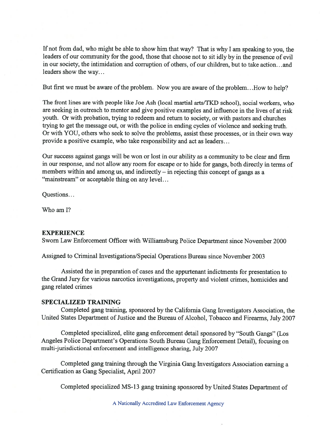If not from dad, who might be able to show him that way? That is why <sup>I</sup> am speaking to you, the leaders of our community for the good, those that choose not to sit idly by in the presence of evil in our society, the intimidation and corruption of others, of our children, but to take action. . . and leaders show the way...

But first we must be aware of the problem. Now you are aware of the problem...How to help?

The front lines are with people like Joe Ash (local martial arts/TKD school), social workers, who are seeking in outreach to mentor and give positive examples and influence in the lives of at risk youth. Or with probation, trying to redeem and return to society, or with pastors and churches trying to ge<sup>t</sup> the message out, or with the police in ending cycles of violence and seeking truth. Or with YOU, others who seek to solve the problems, assist these processes, or in their own way provide <sup>a</sup> positive example, who take responsibility and act as leaders...

Our success against gangs will be won or lost in our ability as <sup>a</sup> community to be clear and firm in our response, and not allow any room for escape or to hide for gangs, both directly in terms of members within and among us, and indirectly — in rejecting this concep<sup>t</sup> of gangs as <sup>a</sup> "mainstream" or acceptable thing on any level...

Questions...

Who am I?

## **EXPERIENCE**

Sworn Law Enforcement Officer with Williamsburg Police Department since November 2000

Assigned to Criminal Investigations/Special Operations Bureau since November 2003

Assisted the in preparation of cases and the appurtenant indictments for presentation to the Grand Jury for various narcotics investigations, property and violent crimes, homicides and gang related crimes

## SPECIALIZED TRAINING

Completed gang training, sponsored by the California Gang Investigators Association, the United States Department of Justice and the Bureau of Alcohol, Tobacco and Firearms, July 2007

Completed specialized, elite gang enforcement detail sponsore<sup>d</sup> by "South Gangs" (Los Angeles Police Department's Operations South Bureau Gang Enforcement Detail), focusing on multi-jurisdictional enforcement and intelligence sharing, July 2007

Completed gang training through the Virginia Gang Investigators Association earning <sup>a</sup> Certification as Gang Specialist, April 2007

Completed specialized MS- <sup>13</sup> gang training sponsore<sup>d</sup> by United States Department of